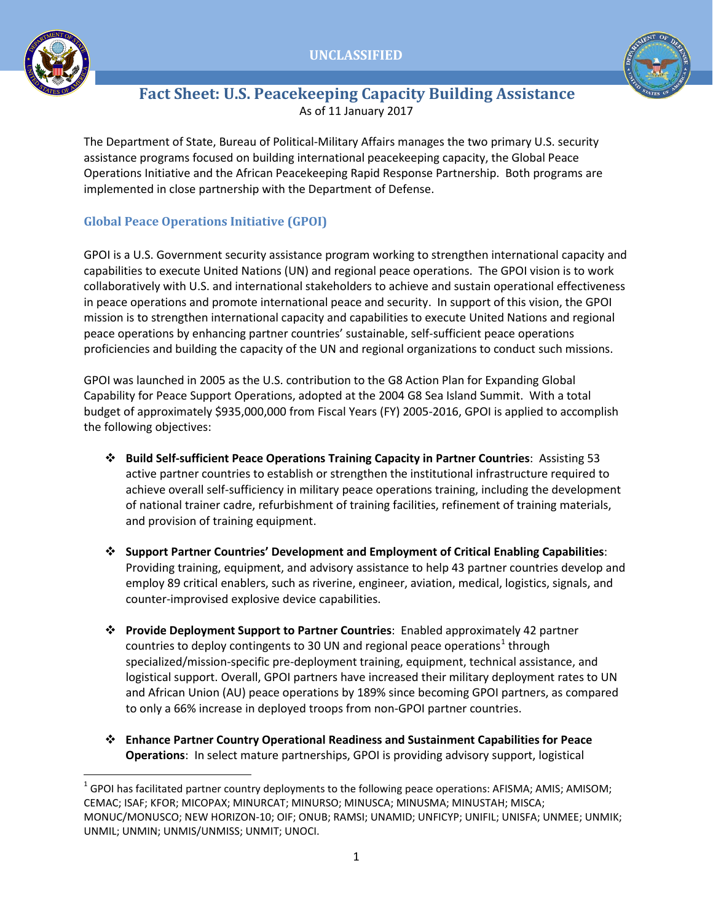



# **Fact Sheet: U.S. Peacekeeping Capacity Building Assistance** As of 11 January 2017

The Department of State, Bureau of Political-Military Affairs manages the two primary U.S. security assistance programs focused on building international peacekeeping capacity, the Global Peace Operations Initiative and the African Peacekeeping Rapid Response Partnership. Both programs are implemented in close partnership with the Department of Defense.

## **Global Peace Operations Initiative (GPOI)**

GPOI is a U.S. Government security assistance program working to strengthen international capacity and capabilities to execute United Nations (UN) and regional peace operations. The GPOI vision is to work collaboratively with U.S. and international stakeholders to achieve and sustain operational effectiveness in peace operations and promote international peace and security. In support of this vision, the GPOI mission is to strengthen international capacity and capabilities to execute United Nations and regional peace operations by enhancing partner countries' sustainable, self-sufficient peace operations proficiencies and building the capacity of the UN and regional organizations to conduct such missions.

GPOI was launched in 2005 as the U.S. contribution to the G8 Action Plan for Expanding Global Capability for Peace Support Operations, adopted at the 2004 G8 Sea Island Summit. With a total budget of approximately \$935,000,000 from Fiscal Years (FY) 2005-2016, GPOI is applied to accomplish the following objectives:

- **Build Self-sufficient Peace Operations Training Capacity in Partner Countries**: Assisting 53 active partner countries to establish or strengthen the institutional infrastructure required to achieve overall self-sufficiency in military peace operations training, including the development of national trainer cadre, refurbishment of training facilities, refinement of training materials, and provision of training equipment.
- **Support Partner Countries' Development and Employment of Critical Enabling Capabilities**: Providing training, equipment, and advisory assistance to help 43 partner countries develop and employ 89 critical enablers, such as riverine, engineer, aviation, medical, logistics, signals, and counter-improvised explosive device capabilities.
- **Provide Deployment Support to Partner Countries**: Enabled approximately 42 partner countries to deploy contingents to 30 UN and regional peace operations<sup>[1](#page-0-0)</sup> through specialized/mission-specific pre-deployment training, equipment, technical assistance, and logistical support. Overall, GPOI partners have increased their military deployment rates to UN and African Union (AU) peace operations by 189% since becoming GPOI partners, as compared to only a 66% increase in deployed troops from non-GPOI partner countries.
- **Enhance Partner Country Operational Readiness and Sustainment Capabilities for Peace Operations**: In select mature partnerships, GPOI is providing advisory support, logistical

<span id="page-0-0"></span> $1$  GPOI has facilitated partner country deployments to the following peace operations: AFISMA; AMIS; AMISOM; CEMAC; ISAF; KFOR; MICOPAX; MINURCAT; MINURSO; MINUSCA; MINUSMA; MINUSTAH; MISCA; MONUC/MONUSCO; NEW HORIZON-10; OIF; ONUB; RAMSI; UNAMID; UNFICYP; UNIFIL; UNISFA; UNMEE; UNMIK; UNMIL; UNMIN; UNMIS/UNMISS; UNMIT; UNOCI.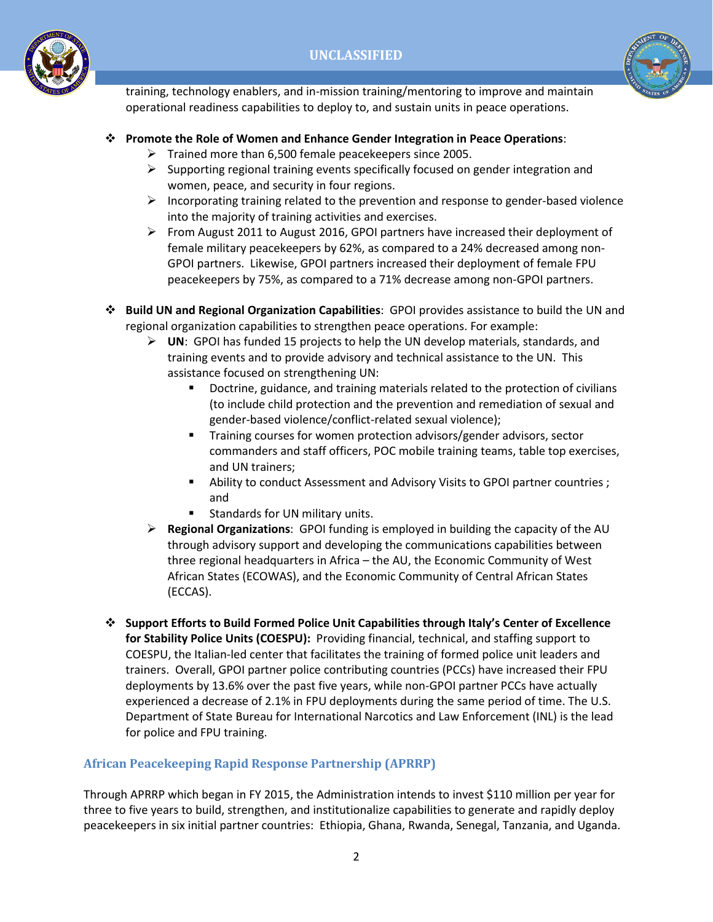



training, technology enablers, and in-mission training/mentoring to improve and maintain operational readiness capabilities to deploy to, and sustain units in peace operations.

#### **Promote the Role of Women and Enhance Gender Integration in Peace Operations**:

- $\triangleright$  Trained more than 6,500 female peacekeepers since 2005.
- $\triangleright$  Supporting regional training events specifically focused on gender integration and women, peace, and security in four regions.
- $\triangleright$  Incorporating training related to the prevention and response to gender-based violence into the majority of training activities and exercises.
- From August 2011 to August 2016, GPOI partners have increased their deployment of female military peacekeepers by 62%, as compared to a 24% decreased among non-GPOI partners. Likewise, GPOI partners increased their deployment of female FPU peacekeepers by 75%, as compared to a 71% decrease among non-GPOI partners.
- **Build UN and Regional Organization Capabilities**: GPOI provides assistance to build the UN and regional organization capabilities to strengthen peace operations. For example:
	- **UN**: GPOI has funded 15 projects to help the UN develop materials, standards, and training events and to provide advisory and technical assistance to the UN. This assistance focused on strengthening UN:
		- Doctrine, guidance, and training materials related to the protection of civilians (to include child protection and the prevention and remediation of sexual and gender-based violence/conflict-related sexual violence);
		- Training courses for women protection advisors/gender advisors, sector commanders and staff officers, POC mobile training teams, table top exercises, and UN trainers;
		- Ability to conduct Assessment and Advisory Visits to GPOI partner countries ; and
		- Standards for UN military units.
	- **Regional Organizations**: GPOI funding is employed in building the capacity of the AU through advisory support and developing the communications capabilities between three regional headquarters in Africa – the AU, the Economic Community of West African States (ECOWAS), and the Economic Community of Central African States (ECCAS).
- **Support Efforts to Build Formed Police Unit Capabilities through Italy's Center of Excellence for Stability Police Units (COESPU):** Providing financial, technical, and staffing support to COESPU, the Italian-led center that facilitates the training of formed police unit leaders and trainers. Overall, GPOI partner police contributing countries (PCCs) have increased their FPU deployments by 13.6% over the past five years, while non-GPOI partner PCCs have actually experienced a decrease of 2.1% in FPU deployments during the same period of time. The U.S. Department of State Bureau for International Narcotics and Law Enforcement (INL) is the lead for police and FPU training.

#### **African Peacekeeping Rapid Response Partnership (APRRP)**

Through APRRP which began in FY 2015, the Administration intends to invest \$110 million per year for three to five years to build, strengthen, and institutionalize capabilities to generate and rapidly deploy peacekeepers in six initial partner countries: Ethiopia, Ghana, Rwanda, Senegal, Tanzania, and Uganda.